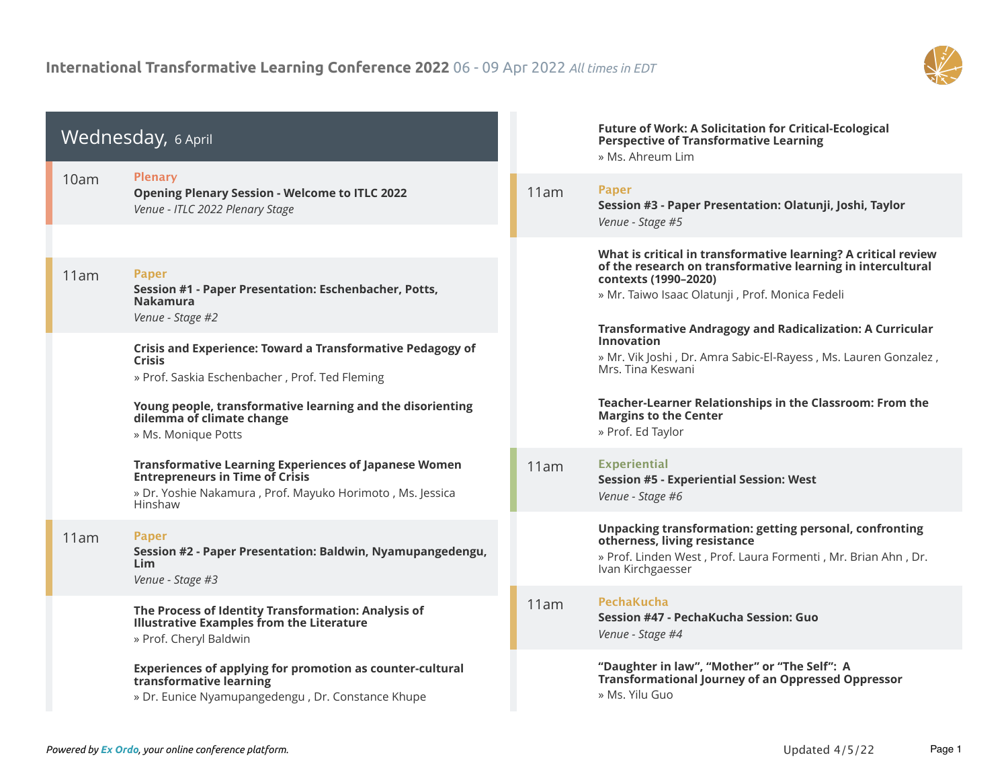

| Wednesday, 6 April |                                                                                                                                                                                |      | <b>Future of Work: A Solicitation for Critical-Ecological</b><br><b>Perspective of Transformative Learning</b><br>» Ms. Ahreum Lim                                                                                                                                            |
|--------------------|--------------------------------------------------------------------------------------------------------------------------------------------------------------------------------|------|-------------------------------------------------------------------------------------------------------------------------------------------------------------------------------------------------------------------------------------------------------------------------------|
| 10am               | <b>Plenary</b><br><b>Opening Plenary Session - Welcome to ITLC 2022</b><br>Venue - ITLC 2022 Plenary Stage                                                                     | 11am | Paper<br>Session #3 - Paper Presentation: Olatunji, Joshi, Taylor<br>Venue - Stage #5                                                                                                                                                                                         |
| 11am               | <b>Paper</b><br>Session #1 - Paper Presentation: Eschenbacher, Potts,<br><b>Nakamura</b><br>Venue - Stage #2                                                                   |      | What is critical in transformative learning? A critical review<br>of the research on transformative learning in intercultural<br>contexts (1990-2020)<br>» Mr. Taiwo Isaac Olatunji , Prof. Monica Fedeli<br><b>Transformative Andragogy and Radicalization: A Curricular</b> |
|                    | <b>Crisis and Experience: Toward a Transformative Pedagogy of</b><br><b>Crisis</b><br>» Prof. Saskia Eschenbacher, Prof. Ted Fleming                                           |      | <b>Innovation</b><br>» Mr. Vik Joshi, Dr. Amra Sabic-El-Rayess, Ms. Lauren Gonzalez,<br>Mrs. Tina Keswani                                                                                                                                                                     |
|                    | Young people, transformative learning and the disorienting<br>dilemma of climate change<br>» Ms. Monique Potts                                                                 |      | Teacher-Learner Relationships in the Classroom: From the<br><b>Margins to the Center</b><br>» Prof. Ed Taylor                                                                                                                                                                 |
|                    | <b>Transformative Learning Experiences of Japanese Women</b><br><b>Entrepreneurs in Time of Crisis</b><br>» Dr. Yoshie Nakamura, Prof. Mayuko Horimoto, Ms. Jessica<br>Hinshaw | 11am | <b>Experiential</b><br><b>Session #5 - Experiential Session: West</b><br>Venue - Stage #6                                                                                                                                                                                     |
| 11am               | <b>Paper</b><br>Session #2 - Paper Presentation: Baldwin, Nyamupangedengu,<br><b>Lim</b><br>Venue - Stage #3                                                                   |      | Unpacking transformation: getting personal, confronting<br>otherness, living resistance<br>» Prof. Linden West, Prof. Laura Formenti, Mr. Brian Ahn, Dr.<br>Ivan Kirchgaesser                                                                                                 |
|                    | The Process of Identity Transformation: Analysis of<br><b>Illustrative Examples from the Literature</b><br>» Prof. Cheryl Baldwin                                              | 11am | PechaKucha<br>Session #47 - PechaKucha Session: Guo<br>Venue - Stage #4                                                                                                                                                                                                       |
|                    | Experiences of applying for promotion as counter-cultural<br>transformative learning<br>» Dr. Eunice Nyamupangedengu, Dr. Constance Khupe                                      |      | "Daughter in law", "Mother" or "The Self": A<br><b>Transformational Journey of an Oppressed Oppressor</b><br>» Ms. Yilu Guo                                                                                                                                                   |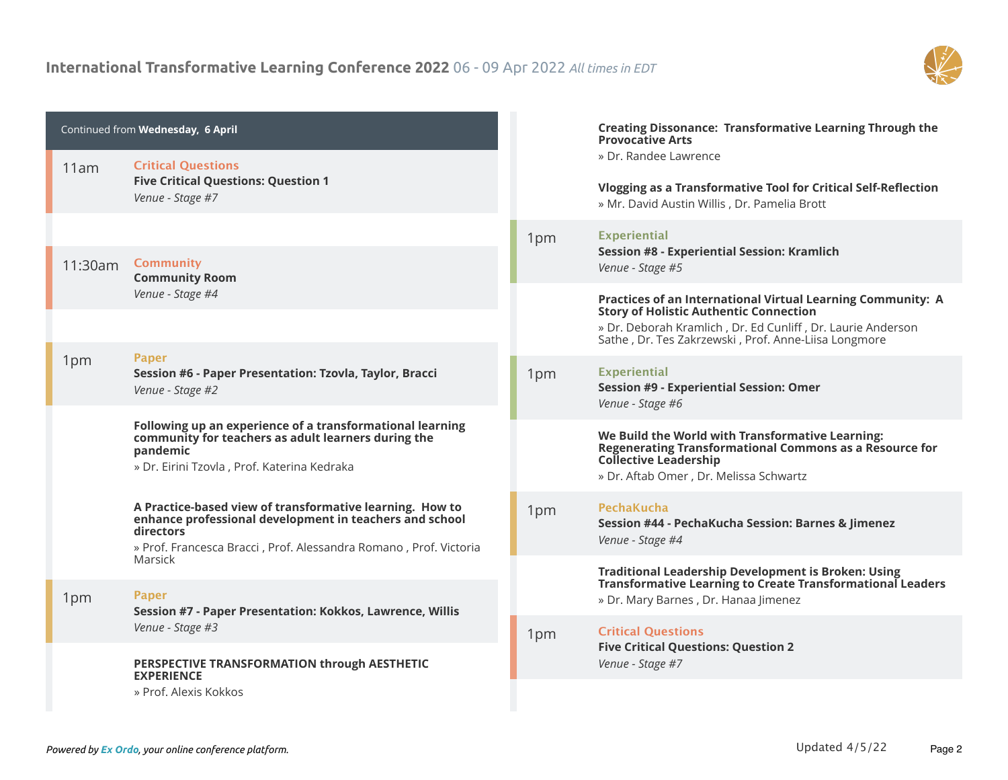

|         | Continued from Wednesday, 6 April                                                                                                                                                                     |     | <b>Creating Dissonance: Transformative Learning Through the</b><br><b>Provocative Arts</b>                                                                                                                                          |
|---------|-------------------------------------------------------------------------------------------------------------------------------------------------------------------------------------------------------|-----|-------------------------------------------------------------------------------------------------------------------------------------------------------------------------------------------------------------------------------------|
| 11am    | <b>Critical Ouestions</b><br><b>Five Critical Questions: Question 1</b><br>Venue - Stage #7                                                                                                           |     | » Dr. Randee Lawrence<br>Vlogging as a Transformative Tool for Critical Self-Reflection<br>» Mr. David Austin Willis, Dr. Pamelia Brott                                                                                             |
| 11:30am | <b>Community</b><br><b>Community Room</b>                                                                                                                                                             | 1pm | <b>Experiential</b><br><b>Session #8 - Experiential Session: Kramlich</b><br>Venue - Stage #5                                                                                                                                       |
|         | Venue - Stage #4                                                                                                                                                                                      |     | Practices of an International Virtual Learning Community: A<br><b>Story of Holistic Authentic Connection</b><br>» Dr. Deborah Kramlich, Dr. Ed Cunliff, Dr. Laurie Anderson<br>Sathe, Dr. Tes Zakrzewski, Prof. Anne-Liisa Longmore |
| 1pm     | <b>Paper</b><br>Session #6 - Paper Presentation: Tzovla, Taylor, Bracci<br>Venue - Stage #2                                                                                                           | 1pm | <b>Experiential</b><br><b>Session #9 - Experiential Session: Omer</b><br>Venue - Stage #6                                                                                                                                           |
|         | Following up an experience of a transformational learning<br>community for teachers as adult learners during the<br>pandemic<br>» Dr. Eirini Tzovla, Prof. Katerina Kedraka                           |     | We Build the World with Transformative Learning:<br><b>Regenerating Transformational Commons as a Resource for</b><br><b>Collective Leadership</b><br>» Dr. Aftab Omer, Dr. Melissa Schwartz                                        |
|         | A Practice-based view of transformative learning. How to<br>enhance professional development in teachers and school<br>directors<br>» Prof. Francesca Bracci, Prof. Alessandra Romano, Prof. Victoria | 1pm | PechaKucha<br>Session #44 - PechaKucha Session: Barnes & Jimenez<br>Venue - Stage #4                                                                                                                                                |
| 1pm     | Marsick<br><b>Paper</b><br>Session #7 - Paper Presentation: Kokkos, Lawrence, Willis                                                                                                                  |     | <b>Traditional Leadership Development is Broken: Using</b><br><b>Transformative Learning to Create Transformational Leaders</b><br>» Dr. Mary Barnes, Dr. Hanaa Jimenez                                                             |
|         | Venue - Stage #3                                                                                                                                                                                      | 1pm | <b>Critical Questions</b><br><b>Five Critical Questions: Question 2</b>                                                                                                                                                             |
|         | PERSPECTIVE TRANSFORMATION through AESTHETIC<br><b>EXPERIENCE</b><br>» Prof. Alexis Kokkos                                                                                                            |     | Venue - Stage #7                                                                                                                                                                                                                    |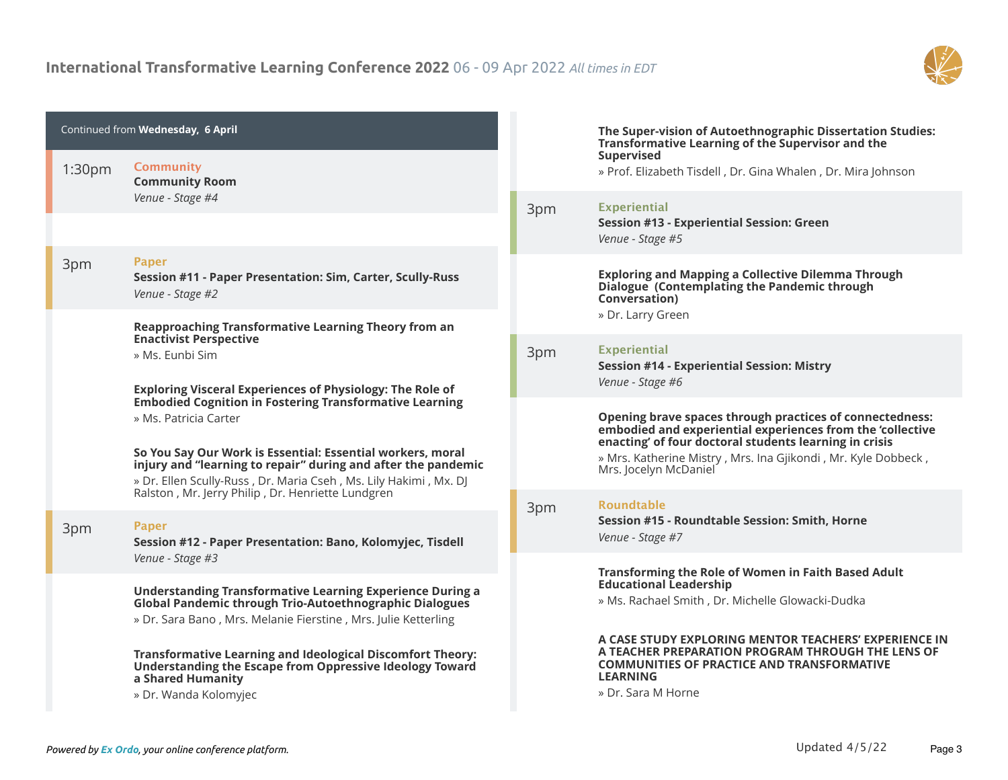

| <b>Community</b><br>1:30pm<br>» Prof. Elizabeth Tisdell, Dr. Gina Whalen, Dr. Mira Johnson<br><b>Community Room</b><br>Venue - Stage #4<br><b>Experiential</b><br>3pm<br><b>Session #13 - Experiential Session: Green</b><br>Venue - Stage #5<br><b>Paper</b><br>3pm<br><b>Exploring and Mapping a Collective Dilemma Through</b><br>Session #11 - Paper Presentation: Sim, Carter, Scully-Russ<br>Dialogue (Contemplating the Pandemic through<br>Venue - Stage #2<br>Conversation)<br>» Dr. Larry Green<br>Reapproaching Transformative Learning Theory from an<br><b>Enactivist Perspective</b><br><b>Experiential</b><br>3pm<br>» Ms. Eunbi Sim<br><b>Session #14 - Experiential Session: Mistry</b><br>Venue - Stage #6<br><b>Exploring Visceral Experiences of Physiology: The Role of</b><br><b>Embodied Cognition in Fostering Transformative Learning</b><br>Opening brave spaces through practices of connectedness:<br>» Ms. Patricia Carter<br>embodied and experiential experiences from the 'collective<br>enacting' of four doctoral students learning in crisis<br>So You Say Our Work is Essential: Essential workers, moral<br>» Mrs. Katherine Mistry, Mrs. Ina Gjikondi, Mr. Kyle Dobbeck,<br>injury and "learning to repair" during and after the pandemic<br>Mrs. Jocelyn McDaniel<br>» Dr. Ellen Scully-Russ, Dr. Maria Cseh, Ms. Lily Hakimi, Mx. DJ<br>Ralston, Mr. Jerry Philip, Dr. Henriette Lundgren<br><b>Roundtable</b><br>3pm<br>Session #15 - Roundtable Session: Smith, Horne<br><b>Paper</b><br>3pm<br>Venue - Stage #7<br>Session #12 - Paper Presentation: Bano, Kolomyjec, Tisdell<br>Venue - Stage #3<br>Transforming the Role of Women in Faith Based Adult<br><b>Educational Leadership</b><br><b>Understanding Transformative Learning Experience During a</b><br>» Ms. Rachael Smith, Dr. Michelle Glowacki-Dudka<br><b>Global Pandemic through Trio-Autoethnographic Dialogues</b><br>» Dr. Sara Bano, Mrs. Melanie Fierstine, Mrs. Julie Ketterling<br>A CASE STUDY EXPLORING MENTOR TEACHERS' EXPERIENCE IN<br>A TEACHER PREPARATION PROGRAM THROUGH THE LENS OF<br><b>Transformative Learning and Ideological Discomfort Theory:</b><br><b>COMMUNITIES OF PRACTICE AND TRANSFORMATIVE</b><br>Understanding the Escape from Oppressive Ideology Toward<br><b>LEARNING</b><br>a Shared Humanity<br>» Dr. Sara M Horne<br>» Dr. Wanda Kolomyjec | Continued from Wednesday, 6 April |  | The Super-vision of Autoethnographic Dissertation Studies:<br>Transformative Learning of the Supervisor and the |
|---------------------------------------------------------------------------------------------------------------------------------------------------------------------------------------------------------------------------------------------------------------------------------------------------------------------------------------------------------------------------------------------------------------------------------------------------------------------------------------------------------------------------------------------------------------------------------------------------------------------------------------------------------------------------------------------------------------------------------------------------------------------------------------------------------------------------------------------------------------------------------------------------------------------------------------------------------------------------------------------------------------------------------------------------------------------------------------------------------------------------------------------------------------------------------------------------------------------------------------------------------------------------------------------------------------------------------------------------------------------------------------------------------------------------------------------------------------------------------------------------------------------------------------------------------------------------------------------------------------------------------------------------------------------------------------------------------------------------------------------------------------------------------------------------------------------------------------------------------------------------------------------------------------------------------------------------------------------------------------------------------------------------------------------------------------------------------------------------------------------------------------------------------------------------------------------------------------------------------------------------------------------------------------------------------------------------------------------------------------------------------------------|-----------------------------------|--|-----------------------------------------------------------------------------------------------------------------|
|                                                                                                                                                                                                                                                                                                                                                                                                                                                                                                                                                                                                                                                                                                                                                                                                                                                                                                                                                                                                                                                                                                                                                                                                                                                                                                                                                                                                                                                                                                                                                                                                                                                                                                                                                                                                                                                                                                                                                                                                                                                                                                                                                                                                                                                                                                                                                                                             |                                   |  | <b>Supervised</b>                                                                                               |
|                                                                                                                                                                                                                                                                                                                                                                                                                                                                                                                                                                                                                                                                                                                                                                                                                                                                                                                                                                                                                                                                                                                                                                                                                                                                                                                                                                                                                                                                                                                                                                                                                                                                                                                                                                                                                                                                                                                                                                                                                                                                                                                                                                                                                                                                                                                                                                                             |                                   |  |                                                                                                                 |
|                                                                                                                                                                                                                                                                                                                                                                                                                                                                                                                                                                                                                                                                                                                                                                                                                                                                                                                                                                                                                                                                                                                                                                                                                                                                                                                                                                                                                                                                                                                                                                                                                                                                                                                                                                                                                                                                                                                                                                                                                                                                                                                                                                                                                                                                                                                                                                                             |                                   |  |                                                                                                                 |
|                                                                                                                                                                                                                                                                                                                                                                                                                                                                                                                                                                                                                                                                                                                                                                                                                                                                                                                                                                                                                                                                                                                                                                                                                                                                                                                                                                                                                                                                                                                                                                                                                                                                                                                                                                                                                                                                                                                                                                                                                                                                                                                                                                                                                                                                                                                                                                                             |                                   |  |                                                                                                                 |
|                                                                                                                                                                                                                                                                                                                                                                                                                                                                                                                                                                                                                                                                                                                                                                                                                                                                                                                                                                                                                                                                                                                                                                                                                                                                                                                                                                                                                                                                                                                                                                                                                                                                                                                                                                                                                                                                                                                                                                                                                                                                                                                                                                                                                                                                                                                                                                                             |                                   |  |                                                                                                                 |
|                                                                                                                                                                                                                                                                                                                                                                                                                                                                                                                                                                                                                                                                                                                                                                                                                                                                                                                                                                                                                                                                                                                                                                                                                                                                                                                                                                                                                                                                                                                                                                                                                                                                                                                                                                                                                                                                                                                                                                                                                                                                                                                                                                                                                                                                                                                                                                                             |                                   |  |                                                                                                                 |
|                                                                                                                                                                                                                                                                                                                                                                                                                                                                                                                                                                                                                                                                                                                                                                                                                                                                                                                                                                                                                                                                                                                                                                                                                                                                                                                                                                                                                                                                                                                                                                                                                                                                                                                                                                                                                                                                                                                                                                                                                                                                                                                                                                                                                                                                                                                                                                                             |                                   |  |                                                                                                                 |
|                                                                                                                                                                                                                                                                                                                                                                                                                                                                                                                                                                                                                                                                                                                                                                                                                                                                                                                                                                                                                                                                                                                                                                                                                                                                                                                                                                                                                                                                                                                                                                                                                                                                                                                                                                                                                                                                                                                                                                                                                                                                                                                                                                                                                                                                                                                                                                                             |                                   |  |                                                                                                                 |
|                                                                                                                                                                                                                                                                                                                                                                                                                                                                                                                                                                                                                                                                                                                                                                                                                                                                                                                                                                                                                                                                                                                                                                                                                                                                                                                                                                                                                                                                                                                                                                                                                                                                                                                                                                                                                                                                                                                                                                                                                                                                                                                                                                                                                                                                                                                                                                                             |                                   |  |                                                                                                                 |
|                                                                                                                                                                                                                                                                                                                                                                                                                                                                                                                                                                                                                                                                                                                                                                                                                                                                                                                                                                                                                                                                                                                                                                                                                                                                                                                                                                                                                                                                                                                                                                                                                                                                                                                                                                                                                                                                                                                                                                                                                                                                                                                                                                                                                                                                                                                                                                                             |                                   |  |                                                                                                                 |
|                                                                                                                                                                                                                                                                                                                                                                                                                                                                                                                                                                                                                                                                                                                                                                                                                                                                                                                                                                                                                                                                                                                                                                                                                                                                                                                                                                                                                                                                                                                                                                                                                                                                                                                                                                                                                                                                                                                                                                                                                                                                                                                                                                                                                                                                                                                                                                                             |                                   |  |                                                                                                                 |
|                                                                                                                                                                                                                                                                                                                                                                                                                                                                                                                                                                                                                                                                                                                                                                                                                                                                                                                                                                                                                                                                                                                                                                                                                                                                                                                                                                                                                                                                                                                                                                                                                                                                                                                                                                                                                                                                                                                                                                                                                                                                                                                                                                                                                                                                                                                                                                                             |                                   |  |                                                                                                                 |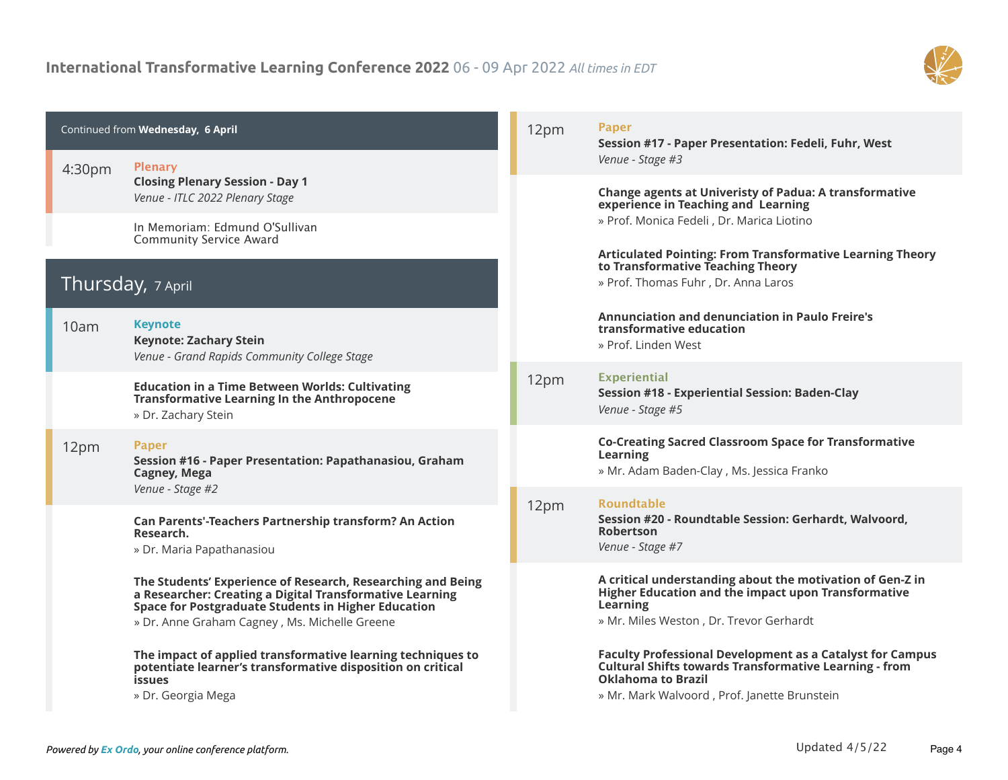

| Continued from Wednesday, 6 April |                                                                                                                                                                                                                                        | 12pm | <b>Paper</b><br>Session #17 - Paper Presentation: Fedeli, Fuhr, West                                                                                                                                           |
|-----------------------------------|----------------------------------------------------------------------------------------------------------------------------------------------------------------------------------------------------------------------------------------|------|----------------------------------------------------------------------------------------------------------------------------------------------------------------------------------------------------------------|
| 4:30 <sub>pm</sub>                | <b>Plenary</b><br><b>Closing Plenary Session - Day 1</b>                                                                                                                                                                               |      | Venue - Stage #3                                                                                                                                                                                               |
|                                   | Venue - ITLC 2022 Plenary Stage                                                                                                                                                                                                        |      | <b>Change agents at Univeristy of Padua: A transformative</b><br>experience in Teaching and Learning                                                                                                           |
|                                   | In Memoriam: Edmund O'Sullivan<br><b>Community Service Award</b>                                                                                                                                                                       |      | » Prof. Monica Fedeli, Dr. Marica Liotino                                                                                                                                                                      |
|                                   | Thursday, 7 April                                                                                                                                                                                                                      |      | <b>Articulated Pointing: From Transformative Learning Theory</b><br>to Transformative Teaching Theory<br>» Prof. Thomas Fuhr, Dr. Anna Laros                                                                   |
| 10am                              | <b>Keynote</b><br><b>Keynote: Zachary Stein</b><br>Venue - Grand Rapids Community College Stage                                                                                                                                        |      | Annunciation and denunciation in Paulo Freire's<br>transformative education<br>» Prof. Linden West                                                                                                             |
|                                   | <b>Education in a Time Between Worlds: Cultivating</b><br><b>Transformative Learning In the Anthropocene</b><br>» Dr. Zachary Stein                                                                                                    | 12pm | <b>Experiential</b><br>Session #18 - Experiential Session: Baden-Clay<br>Venue - Stage #5                                                                                                                      |
| 12pm                              | <b>Paper</b><br>Session #16 - Paper Presentation: Papathanasiou, Graham<br>Cagney, Mega<br>Venue - Stage #2                                                                                                                            |      | <b>Co-Creating Sacred Classroom Space for Transformative</b><br><b>Learning</b><br>» Mr. Adam Baden-Clay, Ms. Jessica Franko                                                                                   |
|                                   | Can Parents'-Teachers Partnership transform? An Action<br>Research.<br>» Dr. Maria Papathanasiou                                                                                                                                       | 12pm | <b>Roundtable</b><br>Session #20 - Roundtable Session: Gerhardt, Walvoord,<br><b>Robertson</b><br>Venue - Stage #7                                                                                             |
|                                   | The Students' Experience of Research, Researching and Being<br>a Researcher: Creating a Digital Transformative Learning<br><b>Space for Postgraduate Students in Higher Education</b><br>» Dr. Anne Graham Cagney, Ms. Michelle Greene |      | A critical understanding about the motivation of Gen-Z in<br>Higher Education and the impact upon Transformative<br><b>Learning</b><br>» Mr. Miles Weston, Dr. Trevor Gerhardt                                 |
|                                   | The impact of applied transformative learning techniques to<br>potentiate learner's transformative disposition on critical<br><b>issues</b><br>» Dr. Georgia Mega                                                                      |      | <b>Faculty Professional Development as a Catalyst for Campus</b><br><b>Cultural Shifts towards Transformative Learning - from</b><br><b>Oklahoma to Brazil</b><br>» Mr. Mark Walvoord, Prof. Janette Brunstein |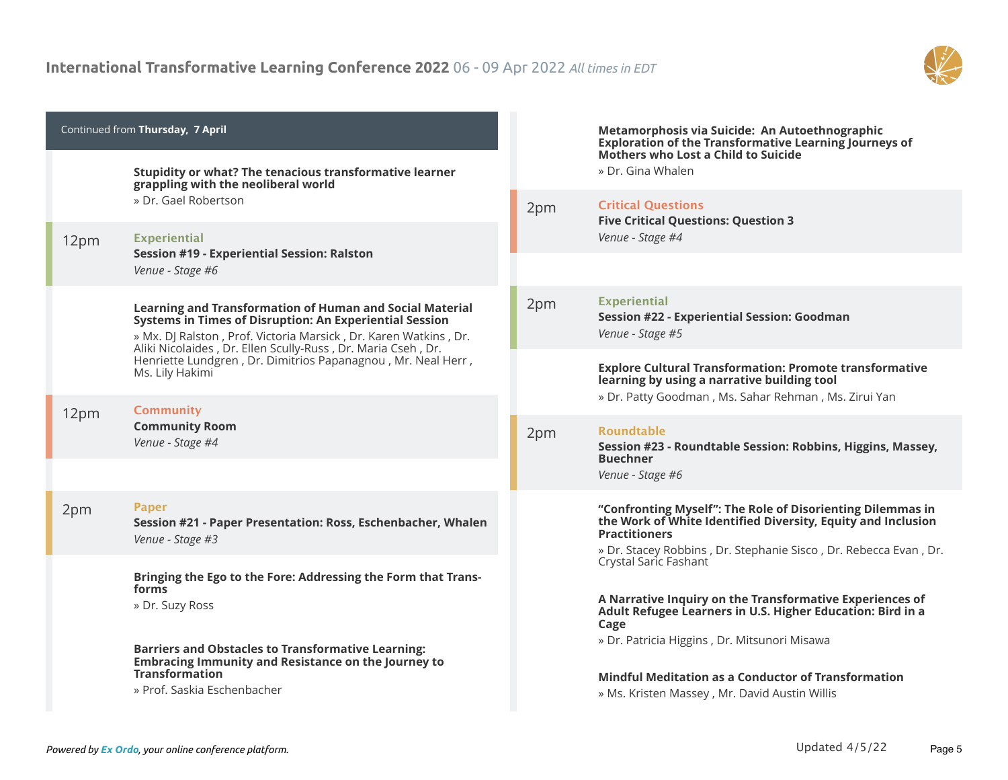

| » Dr. Gina Whalen<br>Stupidity or what? The tenacious transformative learner<br>grappling with the neoliberal world<br>» Dr. Gael Robertson<br><b>Critical Questions</b><br>2pm<br><b>Five Critical Questions: Question 3</b><br>Venue - Stage #4<br><b>Experiential</b><br>12pm<br><b>Session #19 - Experiential Session: Ralston</b><br>Venue - Stage #6<br><b>Experiential</b><br>2pm<br>Learning and Transformation of Human and Social Material<br>Session #22 - Experiential Session: Goodman<br>Systems in Times of Disruption: An Experiential Session<br>Venue - Stage #5<br>» Mx. DJ Ralston, Prof. Victoria Marsick, Dr. Karen Watkins, Dr.<br>Aliki Nicolaides, Dr. Ellen Scully-Russ, Dr. Maria Cseh, Dr.<br>Henriette Lundgren, Dr. Dimitrios Papanagnou, Mr. Neal Herr,<br><b>Explore Cultural Transformation: Promote transformative</b><br>Ms. Lily Hakimi<br>learning by using a narrative building tool<br>» Dr. Patty Goodman, Ms. Sahar Rehman, Ms. Zirui Yan<br><b>Community</b><br>12pm<br><b>Community Room</b><br><b>Roundtable</b><br>2pm<br>Venue - Stage #4<br>Session #23 - Roundtable Session: Robbins, Higgins, Massey,<br><b>Buechner</b><br>Venue - Stage #6<br><b>Paper</b><br>2pm<br>"Confronting Myself": The Role of Disorienting Dilemmas in<br>the Work of White Identified Diversity, Equity and Inclusion<br>Session #21 - Paper Presentation: Ross, Eschenbacher, Whalen<br><b>Practitioners</b><br>Venue - Stage #3<br>» Dr. Stacey Robbins, Dr. Stephanie Sisco, Dr. Rebecca Evan, Dr.<br>Crystal Saric Fashant<br>Bringing the Ego to the Fore: Addressing the Form that Trans-<br>forms<br>A Narrative Inquiry on the Transformative Experiences of<br>» Dr. Suzy Ross<br>Adult Refugee Learners in U.S. Higher Education: Bird in a<br>Cage<br>» Dr. Patricia Higgins, Dr. Mitsunori Misawa<br><b>Barriers and Obstacles to Transformative Learning:</b><br><b>Embracing Immunity and Resistance on the Journey to</b><br><b>Transformation</b><br><b>Mindful Meditation as a Conductor of Transformation</b><br>» Prof. Saskia Eschenbacher | Continued from Thursday, 7 April |  | Metamorphosis via Suicide: An Autoethnographic<br><b>Exploration of the Transformative Learning Journeys of</b> |
|---------------------------------------------------------------------------------------------------------------------------------------------------------------------------------------------------------------------------------------------------------------------------------------------------------------------------------------------------------------------------------------------------------------------------------------------------------------------------------------------------------------------------------------------------------------------------------------------------------------------------------------------------------------------------------------------------------------------------------------------------------------------------------------------------------------------------------------------------------------------------------------------------------------------------------------------------------------------------------------------------------------------------------------------------------------------------------------------------------------------------------------------------------------------------------------------------------------------------------------------------------------------------------------------------------------------------------------------------------------------------------------------------------------------------------------------------------------------------------------------------------------------------------------------------------------------------------------------------------------------------------------------------------------------------------------------------------------------------------------------------------------------------------------------------------------------------------------------------------------------------------------------------------------------------------------------------------------------------------------------------------------------------------------------------------------------------------------------|----------------------------------|--|-----------------------------------------------------------------------------------------------------------------|
|                                                                                                                                                                                                                                                                                                                                                                                                                                                                                                                                                                                                                                                                                                                                                                                                                                                                                                                                                                                                                                                                                                                                                                                                                                                                                                                                                                                                                                                                                                                                                                                                                                                                                                                                                                                                                                                                                                                                                                                                                                                                                             |                                  |  | Mothers who Lost a Child to Suicide                                                                             |
|                                                                                                                                                                                                                                                                                                                                                                                                                                                                                                                                                                                                                                                                                                                                                                                                                                                                                                                                                                                                                                                                                                                                                                                                                                                                                                                                                                                                                                                                                                                                                                                                                                                                                                                                                                                                                                                                                                                                                                                                                                                                                             |                                  |  |                                                                                                                 |
|                                                                                                                                                                                                                                                                                                                                                                                                                                                                                                                                                                                                                                                                                                                                                                                                                                                                                                                                                                                                                                                                                                                                                                                                                                                                                                                                                                                                                                                                                                                                                                                                                                                                                                                                                                                                                                                                                                                                                                                                                                                                                             |                                  |  |                                                                                                                 |
|                                                                                                                                                                                                                                                                                                                                                                                                                                                                                                                                                                                                                                                                                                                                                                                                                                                                                                                                                                                                                                                                                                                                                                                                                                                                                                                                                                                                                                                                                                                                                                                                                                                                                                                                                                                                                                                                                                                                                                                                                                                                                             |                                  |  |                                                                                                                 |
|                                                                                                                                                                                                                                                                                                                                                                                                                                                                                                                                                                                                                                                                                                                                                                                                                                                                                                                                                                                                                                                                                                                                                                                                                                                                                                                                                                                                                                                                                                                                                                                                                                                                                                                                                                                                                                                                                                                                                                                                                                                                                             |                                  |  |                                                                                                                 |
|                                                                                                                                                                                                                                                                                                                                                                                                                                                                                                                                                                                                                                                                                                                                                                                                                                                                                                                                                                                                                                                                                                                                                                                                                                                                                                                                                                                                                                                                                                                                                                                                                                                                                                                                                                                                                                                                                                                                                                                                                                                                                             |                                  |  |                                                                                                                 |
|                                                                                                                                                                                                                                                                                                                                                                                                                                                                                                                                                                                                                                                                                                                                                                                                                                                                                                                                                                                                                                                                                                                                                                                                                                                                                                                                                                                                                                                                                                                                                                                                                                                                                                                                                                                                                                                                                                                                                                                                                                                                                             |                                  |  |                                                                                                                 |
|                                                                                                                                                                                                                                                                                                                                                                                                                                                                                                                                                                                                                                                                                                                                                                                                                                                                                                                                                                                                                                                                                                                                                                                                                                                                                                                                                                                                                                                                                                                                                                                                                                                                                                                                                                                                                                                                                                                                                                                                                                                                                             |                                  |  |                                                                                                                 |
|                                                                                                                                                                                                                                                                                                                                                                                                                                                                                                                                                                                                                                                                                                                                                                                                                                                                                                                                                                                                                                                                                                                                                                                                                                                                                                                                                                                                                                                                                                                                                                                                                                                                                                                                                                                                                                                                                                                                                                                                                                                                                             |                                  |  |                                                                                                                 |
|                                                                                                                                                                                                                                                                                                                                                                                                                                                                                                                                                                                                                                                                                                                                                                                                                                                                                                                                                                                                                                                                                                                                                                                                                                                                                                                                                                                                                                                                                                                                                                                                                                                                                                                                                                                                                                                                                                                                                                                                                                                                                             |                                  |  |                                                                                                                 |
|                                                                                                                                                                                                                                                                                                                                                                                                                                                                                                                                                                                                                                                                                                                                                                                                                                                                                                                                                                                                                                                                                                                                                                                                                                                                                                                                                                                                                                                                                                                                                                                                                                                                                                                                                                                                                                                                                                                                                                                                                                                                                             |                                  |  |                                                                                                                 |
|                                                                                                                                                                                                                                                                                                                                                                                                                                                                                                                                                                                                                                                                                                                                                                                                                                                                                                                                                                                                                                                                                                                                                                                                                                                                                                                                                                                                                                                                                                                                                                                                                                                                                                                                                                                                                                                                                                                                                                                                                                                                                             |                                  |  |                                                                                                                 |
|                                                                                                                                                                                                                                                                                                                                                                                                                                                                                                                                                                                                                                                                                                                                                                                                                                                                                                                                                                                                                                                                                                                                                                                                                                                                                                                                                                                                                                                                                                                                                                                                                                                                                                                                                                                                                                                                                                                                                                                                                                                                                             |                                  |  |                                                                                                                 |
|                                                                                                                                                                                                                                                                                                                                                                                                                                                                                                                                                                                                                                                                                                                                                                                                                                                                                                                                                                                                                                                                                                                                                                                                                                                                                                                                                                                                                                                                                                                                                                                                                                                                                                                                                                                                                                                                                                                                                                                                                                                                                             |                                  |  | » Ms. Kristen Massey, Mr. David Austin Willis                                                                   |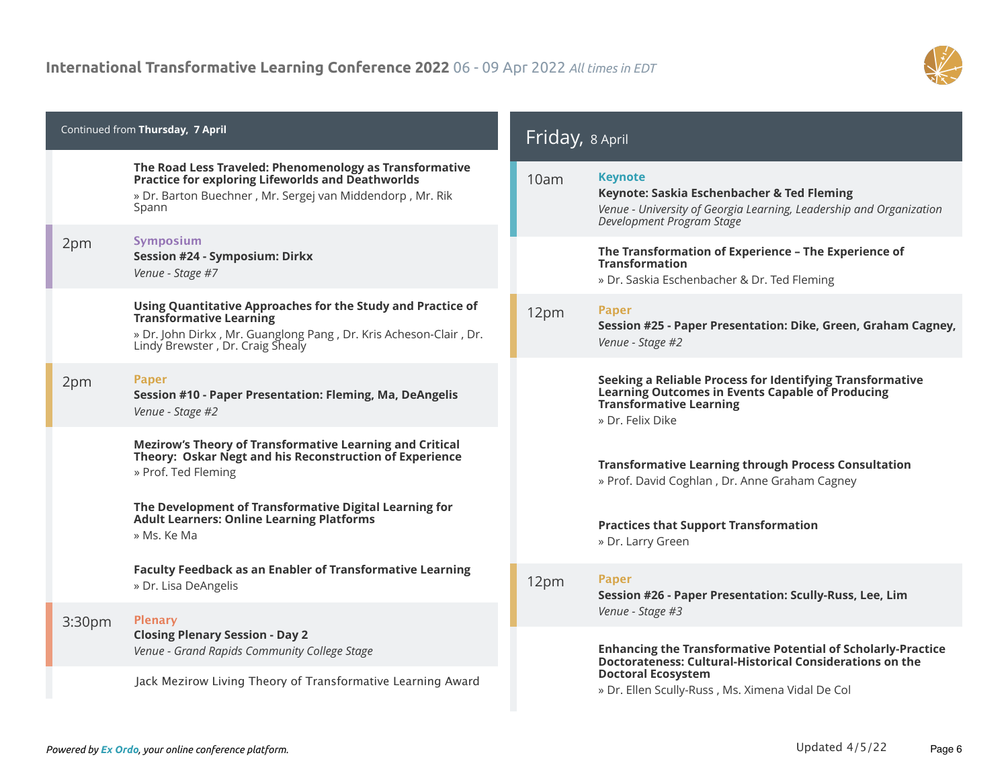

| Continued from Thursday, 7 April |                                                                                                                                                                                                        |      | Friday, 8 April                                                                                                                                                                                                  |  |
|----------------------------------|--------------------------------------------------------------------------------------------------------------------------------------------------------------------------------------------------------|------|------------------------------------------------------------------------------------------------------------------------------------------------------------------------------------------------------------------|--|
|                                  | The Road Less Traveled: Phenomenology as Transformative<br><b>Practice for exploring Lifeworlds and Deathworlds</b><br>» Dr. Barton Buechner, Mr. Sergej van Middendorp, Mr. Rik<br>Spann              | 10am | <b>Keynote</b><br>Keynote: Saskia Eschenbacher & Ted Fleming<br>Venue - University of Georgia Learning, Leadership and Organization<br>Development Program Stage                                                 |  |
| 2pm                              | Symposium<br>Session #24 - Symposium: Dirkx<br>Venue - Stage #7                                                                                                                                        |      | The Transformation of Experience - The Experience of<br><b>Transformation</b><br>» Dr. Saskia Eschenbacher & Dr. Ted Fleming                                                                                     |  |
|                                  | Using Quantitative Approaches for the Study and Practice of<br><b>Transformative Learning</b><br>» Dr. John Dirkx, Mr. Guanglong Pang, Dr. Kris Acheson-Clair, Dr.<br>Lindy Brewster, Dr. Craig Shealy | 12pm | <b>Paper</b><br>Session #25 - Paper Presentation: Dike, Green, Graham Cagney,<br>Venue - Stage #2                                                                                                                |  |
| 2pm                              | <b>Paper</b><br>Session #10 - Paper Presentation: Fleming, Ma, DeAngelis<br>Venue - Stage #2                                                                                                           |      | Seeking a Reliable Process for Identifying Transformative<br>Learning Outcomes in Events Capable of Producing<br><b>Transformative Learning</b><br>» Dr. Felix Dike                                              |  |
|                                  | Mezirow's Theory of Transformative Learning and Critical<br>Theory: Oskar Negt and his Reconstruction of Experience<br>» Prof. Ted Fleming                                                             |      | <b>Transformative Learning through Process Consultation</b><br>» Prof. David Coghlan, Dr. Anne Graham Cagney                                                                                                     |  |
|                                  | The Development of Transformative Digital Learning for<br><b>Adult Learners: Online Learning Platforms</b><br>» Ms. Ke Ma                                                                              |      | <b>Practices that Support Transformation</b><br>» Dr. Larry Green                                                                                                                                                |  |
|                                  | <b>Faculty Feedback as an Enabler of Transformative Learning</b><br>» Dr. Lisa DeAngelis                                                                                                               | 12pm | <b>Paper</b><br>Session #26 - Paper Presentation: Scully-Russ, Lee, Lim<br>Venue - Stage #3                                                                                                                      |  |
| 3:30pm                           | <b>Plenary</b><br><b>Closing Plenary Session - Day 2</b><br>Venue - Grand Rapids Community College Stage<br>Jack Mezirow Living Theory of Transformative Learning Award                                |      | <b>Enhancing the Transformative Potential of Scholarly-Practice</b><br>Doctorateness: Cultural-Historical Considerations on the<br><b>Doctoral Ecosystem</b><br>» Dr. Ellen Scully-Russ, Ms. Ximena Vidal De Col |  |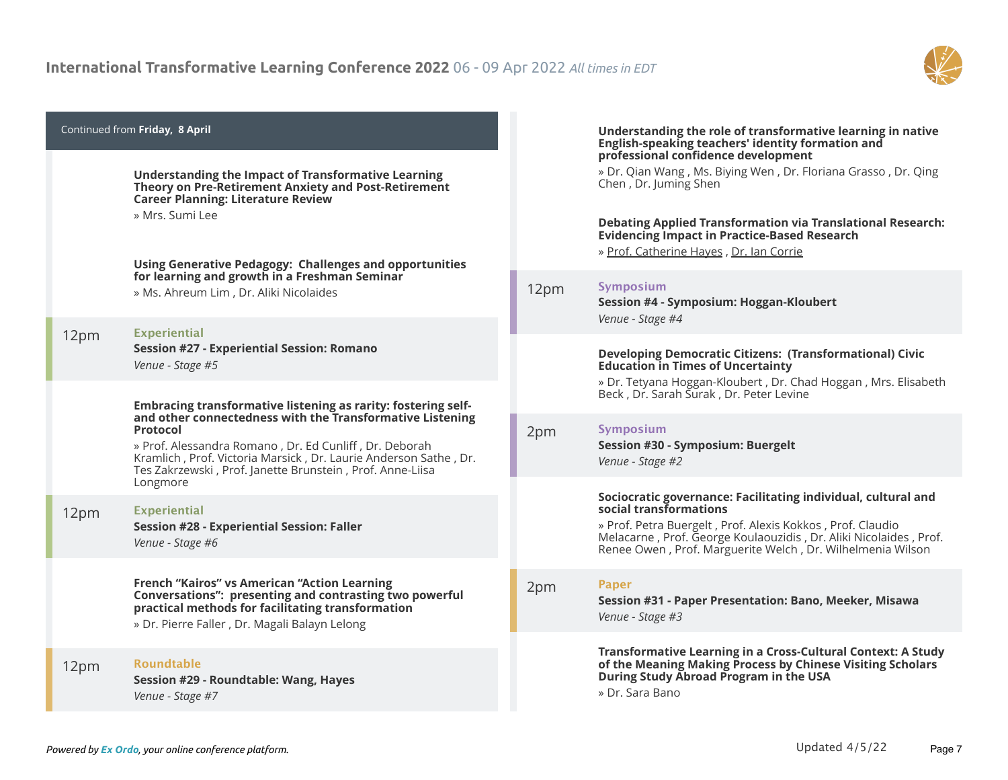

|      | Continued from Friday, 8 April<br><b>Understanding the Impact of Transformative Learning</b><br>Theory on Pre-Retirement Anxiety and Post-Retirement<br><b>Career Planning: Literature Review</b><br>» Mrs. Sumi Lee<br><b>Using Generative Pedagogy: Challenges and opportunities</b>                                                               |      | Understanding the role of transformative learning in native<br>English-speaking teachers' identity formation and<br>professional confidence development<br>» Dr. Qian Wang, Ms. Biying Wen, Dr. Floriana Grasso, Dr. Qing<br>Chen, Dr. Juming Shen<br><b>Debating Applied Transformation via Translational Research:</b><br><b>Evidencing Impact in Practice-Based Research</b><br>» Prof. Catherine Hayes, Dr. Ian Corrie |
|------|------------------------------------------------------------------------------------------------------------------------------------------------------------------------------------------------------------------------------------------------------------------------------------------------------------------------------------------------------|------|----------------------------------------------------------------------------------------------------------------------------------------------------------------------------------------------------------------------------------------------------------------------------------------------------------------------------------------------------------------------------------------------------------------------------|
|      | for learning and growth in a Freshman Seminar<br>» Ms. Ahreum Lim, Dr. Aliki Nicolaides                                                                                                                                                                                                                                                              | 12pm | <b>Symposium</b><br>Session #4 - Symposium: Hoggan-Kloubert<br>Venue - Stage #4                                                                                                                                                                                                                                                                                                                                            |
| 12pm | <b>Experiential</b><br><b>Session #27 - Experiential Session: Romano</b><br>Venue - Stage #5                                                                                                                                                                                                                                                         |      | <b>Developing Democratic Citizens: (Transformational) Civic</b><br><b>Education in Times of Uncertainty</b><br>» Dr. Tetyana Hoggan-Kloubert, Dr. Chad Hoggan, Mrs. Elisabeth                                                                                                                                                                                                                                              |
|      | Embracing transformative listening as rarity: fostering self-<br>and other connectedness with the Transformative Listening<br><b>Protocol</b><br>» Prof. Alessandra Romano, Dr. Ed Cunliff, Dr. Deborah<br>Kramlich, Prof. Victoria Marsick, Dr. Laurie Anderson Sathe, Dr.<br>Tes Zakrzewski, Prof. Janette Brunstein, Prof. Anne-Liisa<br>Longmore | 2pm  | Beck, Dr. Sarah Surak, Dr. Peter Levine<br>Symposium<br>Session #30 - Symposium: Buergelt<br>Venue - Stage #2                                                                                                                                                                                                                                                                                                              |
| 12pm | <b>Experiential</b><br><b>Session #28 - Experiential Session: Faller</b><br>Venue - Stage #6                                                                                                                                                                                                                                                         |      | Sociocratic governance: Facilitating individual, cultural and<br>social transformations<br>» Prof. Petra Buergelt, Prof. Alexis Kokkos, Prof. Claudio<br>Melacarne, Prof. George Koulaouzidis, Dr. Aliki Nicolaides, Prof.<br>Renee Owen, Prof. Marguerite Welch, Dr. Wilhelmenia Wilson                                                                                                                                   |
|      | <b>French "Kairos" vs American "Action Learning</b><br>Conversations": presenting and contrasting two powerful<br>practical methods for facilitating transformation<br>» Dr. Pierre Faller, Dr. Magali Balayn Lelong                                                                                                                                 | 2pm  | <b>Paper</b><br>Session #31 - Paper Presentation: Bano, Meeker, Misawa<br>Venue - Stage #3                                                                                                                                                                                                                                                                                                                                 |
| 12pm | <b>Roundtable</b><br>Session #29 - Roundtable: Wang, Hayes<br>Venue - Stage #7                                                                                                                                                                                                                                                                       |      | Transformative Learning in a Cross-Cultural Context: A Study<br>of the Meaning Making Process by Chinese Visiting Scholars<br>During Study Abroad Program in the USA<br>» Dr. Sara Bano                                                                                                                                                                                                                                    |

÷.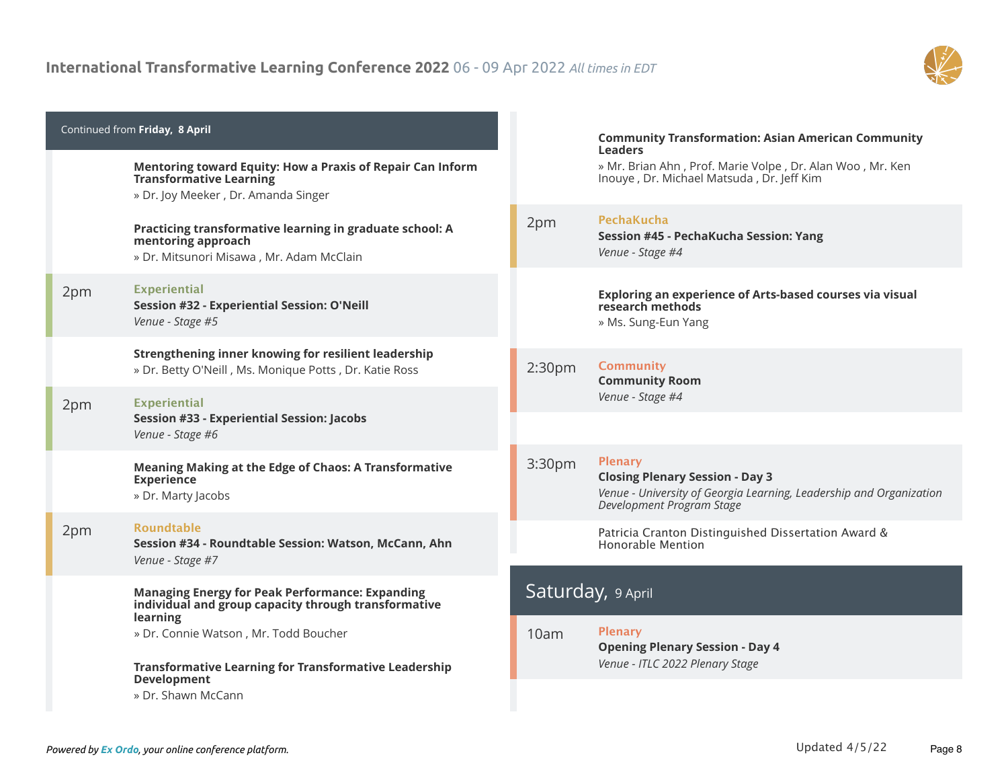

|     | Continued from Friday, 8 April<br>Mentoring toward Equity: How a Praxis of Repair Can Inform<br><b>Transformative Learning</b><br>» Dr. Joy Meeker, Dr. Amanda Singer |                    | <b>Community Transformation: Asian American Community</b><br><b>Leaders</b><br>» Mr. Brian Ahn, Prof. Marie Volpe, Dr. Alan Woo, Mr. Ken<br>Inouye, Dr. Michael Matsuda, Dr. Jeff Kim |
|-----|-----------------------------------------------------------------------------------------------------------------------------------------------------------------------|--------------------|---------------------------------------------------------------------------------------------------------------------------------------------------------------------------------------|
|     | Practicing transformative learning in graduate school: A<br>mentoring approach<br>» Dr. Mitsunori Misawa, Mr. Adam McClain                                            | 2pm                | <b>PechaKucha</b><br>Session #45 - PechaKucha Session: Yang<br>Venue - Stage #4                                                                                                       |
| 2pm | <b>Experiential</b><br>Session #32 - Experiential Session: O'Neill<br>Venue - Stage #5                                                                                |                    | Exploring an experience of Arts-based courses via visual<br>research methods<br>» Ms. Sung-Eun Yang                                                                                   |
|     | Strengthening inner knowing for resilient leadership<br>» Dr. Betty O'Neill, Ms. Monique Potts, Dr. Katie Ross                                                        | 2:30 <sub>pm</sub> | <b>Community</b><br><b>Community Room</b>                                                                                                                                             |
| 2pm | <b>Experiential</b><br><b>Session #33 - Experiential Session: Jacobs</b><br>Venue - Stage #6                                                                          |                    | Venue - Stage #4                                                                                                                                                                      |
|     | <b>Meaning Making at the Edge of Chaos: A Transformative</b><br><b>Experience</b><br>» Dr. Marty Jacobs                                                               | 3:30 <sub>pm</sub> | <b>Plenary</b><br><b>Closing Plenary Session - Day 3</b><br>Venue - University of Georgia Learning, Leadership and Organization<br>Development Program Stage                          |
| 2pm | <b>Roundtable</b><br>Session #34 - Roundtable Session: Watson, McCann, Ahn<br>Venue - Stage #7                                                                        |                    | Patricia Cranton Distinguished Dissertation Award &<br>Honorable Mention                                                                                                              |
|     | <b>Managing Energy for Peak Performance: Expanding</b><br>individual and group capacity through transformative                                                        |                    | Saturday, 9 April                                                                                                                                                                     |
|     | learning<br>» Dr. Connie Watson, Mr. Todd Boucher<br><b>Transformative Learning for Transformative Leadership</b>                                                     | 10am               | <b>Plenary</b><br><b>Opening Plenary Session - Day 4</b><br>Venue - ITLC 2022 Plenary Stage                                                                                           |
|     | <b>Development</b><br>» Dr. Shawn McCann                                                                                                                              |                    |                                                                                                                                                                                       |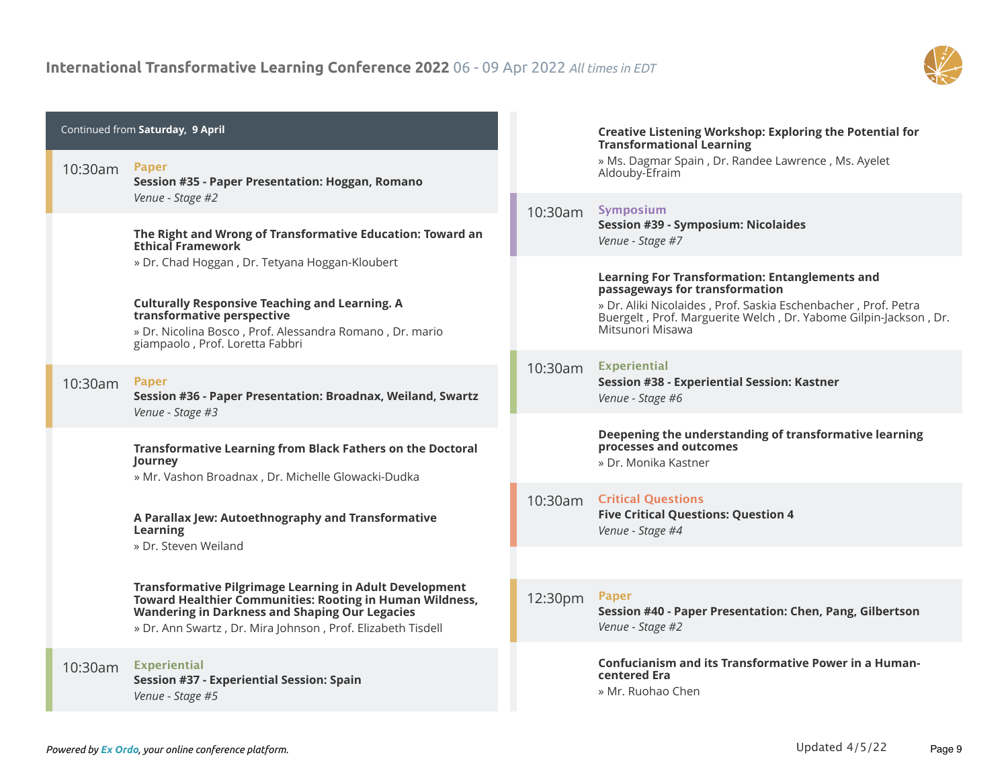

| Continued from Saturday, 9 April |                                                                                                                                                                                                                                                    |            | <b>Creative Listening Workshop: Exploring the Potential for</b><br><b>Transformational Learning</b>                                                                                                                                               |
|----------------------------------|----------------------------------------------------------------------------------------------------------------------------------------------------------------------------------------------------------------------------------------------------|------------|---------------------------------------------------------------------------------------------------------------------------------------------------------------------------------------------------------------------------------------------------|
| 10:30am                          | <b>Paper</b><br>Session #35 - Paper Presentation: Hoggan, Romano                                                                                                                                                                                   |            | » Ms. Dagmar Spain, Dr. Randee Lawrence, Ms. Ayelet<br>Aldouby-Efraim                                                                                                                                                                             |
|                                  | Venue - Stage #2<br>The Right and Wrong of Transformative Education: Toward an<br><b>Ethical Framework</b>                                                                                                                                         | 10:30am    | Symposium<br><b>Session #39 - Symposium: Nicolaides</b><br>Venue - Stage #7                                                                                                                                                                       |
|                                  | » Dr. Chad Hoggan, Dr. Tetyana Hoggan-Kloubert<br><b>Culturally Responsive Teaching and Learning. A</b><br>transformative perspective<br>» Dr. Nicolina Bosco, Prof. Alessandra Romano, Dr. mario<br>giampaolo, Prof. Loretta Fabbri               |            | <b>Learning For Transformation: Entanglements and</b><br>passageways for transformation<br>» Dr. Aliki Nicolaides, Prof. Saskia Eschenbacher, Prof. Petra<br>Buergelt, Prof. Marguerite Welch, Dr. Yabome Gilpin-Jackson, Dr.<br>Mitsunori Misawa |
| 10:30am                          | <b>Paper</b><br>Session #36 - Paper Presentation: Broadnax, Weiland, Swartz<br>Venue - Stage #3                                                                                                                                                    | 10:30am    | <b>Experiential</b><br>Session #38 - Experiential Session: Kastner<br>Venue - Stage #6                                                                                                                                                            |
|                                  | <b>Transformative Learning from Black Fathers on the Doctoral</b><br>Journey<br>» Mr. Vashon Broadnax, Dr. Michelle Glowacki-Dudka                                                                                                                 |            | Deepening the understanding of transformative learning<br>processes and outcomes<br>» Dr. Monika Kastner                                                                                                                                          |
|                                  | A Parallax Jew: Autoethnography and Transformative<br>Learning<br>» Dr. Steven Weiland                                                                                                                                                             | $10:30$ am | <b>Critical Questions</b><br><b>Five Critical Questions: Question 4</b><br>Venue - Stage #4                                                                                                                                                       |
|                                  |                                                                                                                                                                                                                                                    |            |                                                                                                                                                                                                                                                   |
|                                  | <b>Transformative Pilgrimage Learning in Adult Development</b><br>Toward Healthier Communities: Rooting in Human Wildness,<br><b>Wandering in Darkness and Shaping Our Legacies</b><br>» Dr. Ann Swartz, Dr. Mira Johnson, Prof. Elizabeth Tisdell | 12:30pm    | <b>Paper</b><br>Session #40 - Paper Presentation: Chen, Pang, Gilbertson<br>Venue - Stage #2                                                                                                                                                      |
| 10:30am                          | <b>Experiential</b><br><b>Session #37 - Experiential Session: Spain</b><br>Venue - Stage #5                                                                                                                                                        |            | <b>Confucianism and its Transformative Power in a Human-</b><br>centered Era<br>» Mr. Ruohao Chen                                                                                                                                                 |